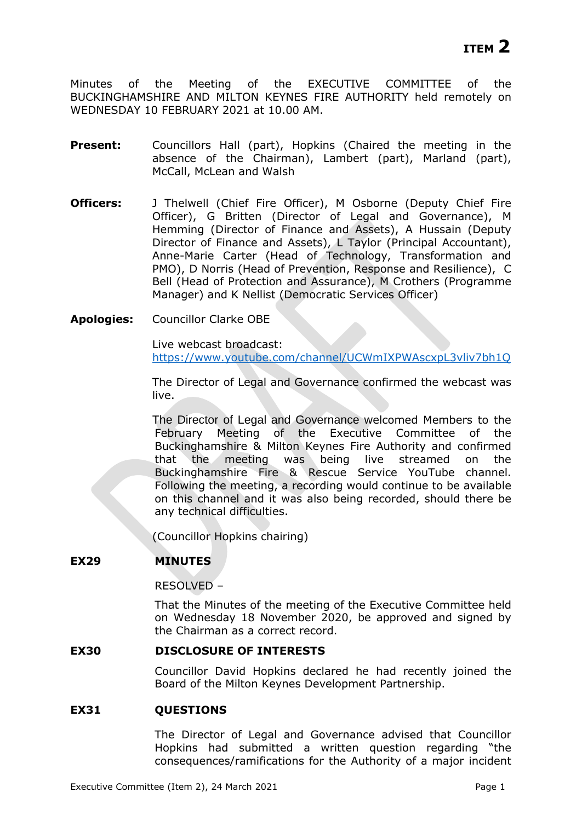Minutes of the Meeting of the EXECUTIVE COMMITTEE of the BUCKINGHAMSHIRE AND MILTON KEYNES FIRE AUTHORITY held remotely on WEDNESDAY 10 FEBRUARY 2021 at 10.00 AM.

- **Present:** Councillors Hall (part), Hopkins (Chaired the meeting in the absence of the Chairman), Lambert (part), Marland (part), McCall, McLean and Walsh
- **Officers:** J Thelwell (Chief Fire Officer), M Osborne (Deputy Chief Fire Officer), G Britten (Director of Legal and Governance), M Hemming (Director of Finance and Assets), A Hussain (Deputy Director of Finance and Assets), L Taylor (Principal Accountant), Anne-Marie Carter (Head of Technology, Transformation and PMO), D Norris (Head of Prevention, Response and Resilience), C Bell (Head of Protection and Assurance), M Crothers (Programme Manager) and K Nellist (Democratic Services Officer)
- **Apologies:** Councillor Clarke OBE

Live webcast broadcast: <https://www.youtube.com/channel/UCWmIXPWAscxpL3vliv7bh1Q>

The Director of Legal and Governance confirmed the webcast was live.

The Director of Legal and Governance welcomed Members to the February Meeting of the Executive Committee of the Buckinghamshire & Milton Keynes Fire Authority and confirmed that the meeting was being live streamed on the Buckinghamshire Fire & Rescue Service YouTube channel. Following the meeting, a recording would continue to be available on this channel and it was also being recorded, should there be any technical difficulties.

(Councillor Hopkins chairing)

# **EX29 MINUTES**

RESOLVED –

That the Minutes of the meeting of the Executive Committee held on Wednesday 18 November 2020, be approved and signed by the Chairman as a correct record.

# **EX30 DISCLOSURE OF INTERESTS**

Councillor David Hopkins declared he had recently joined the Board of the Milton Keynes Development Partnership.

### **EX31 QUESTIONS**

The Director of Legal and Governance advised that Councillor Hopkins had submitted a written question regarding "the consequences/ramifications for the Authority of a major incident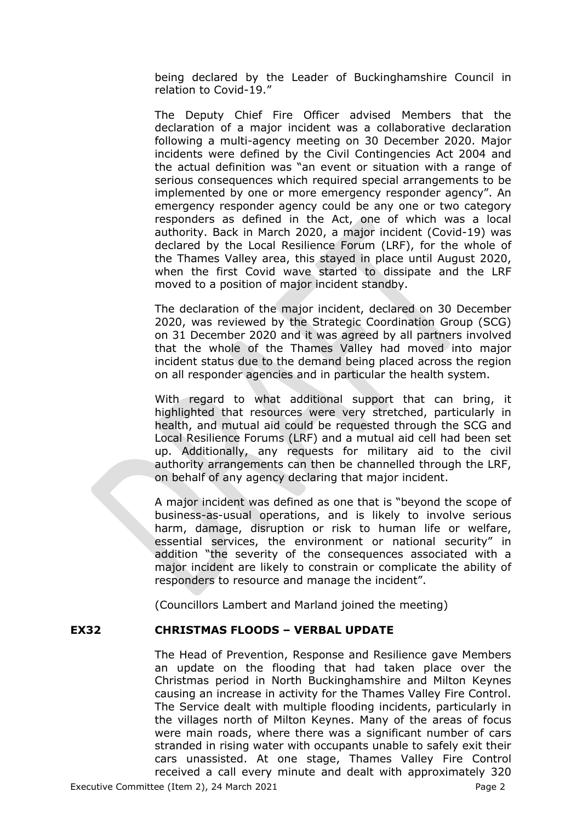being declared by the Leader of Buckinghamshire Council in relation to Covid-19."

The Deputy Chief Fire Officer advised Members that the declaration of a major incident was a collaborative declaration following a multi-agency meeting on 30 December 2020. Major incidents were defined by the Civil Contingencies Act 2004 and the actual definition was "an event or situation with a range of serious consequences which required special arrangements to be implemented by one or more emergency responder agency". An emergency responder agency could be any one or two category responders as defined in the Act, one of which was a local authority. Back in March 2020, a major incident (Covid-19) was declared by the Local Resilience Forum (LRF), for the whole of the Thames Valley area, this stayed in place until August 2020, when the first Covid wave started to dissipate and the LRF moved to a position of major incident standby.

The declaration of the major incident, declared on 30 December 2020, was reviewed by the Strategic Coordination Group (SCG) on 31 December 2020 and it was agreed by all partners involved that the whole of the Thames Valley had moved into major incident status due to the demand being placed across the region on all responder agencies and in particular the health system.

With regard to what additional support that can bring, it highlighted that resources were very stretched, particularly in health, and mutual aid could be requested through the SCG and Local Resilience Forums (LRF) and a mutual aid cell had been set up. Additionally, any requests for military aid to the civil authority arrangements can then be channelled through the LRF, on behalf of any agency declaring that major incident.

A major incident was defined as one that is "beyond the scope of business-as-usual operations, and is likely to involve serious harm, damage, disruption or risk to human life or welfare, essential services, the environment or national security" in addition "the severity of the consequences associated with a major incident are likely to constrain or complicate the ability of responders to resource and manage the incident".

(Councillors Lambert and Marland joined the meeting)

### **EX32 CHRISTMAS FLOODS – VERBAL UPDATE**

The Head of Prevention, Response and Resilience gave Members an update on the flooding that had taken place over the Christmas period in North Buckinghamshire and Milton Keynes causing an increase in activity for the Thames Valley Fire Control. The Service dealt with multiple flooding incidents, particularly in the villages north of Milton Keynes. Many of the areas of focus were main roads, where there was a significant number of cars stranded in rising water with occupants unable to safely exit their cars unassisted. At one stage, Thames Valley Fire Control received a call every minute and dealt with approximately 320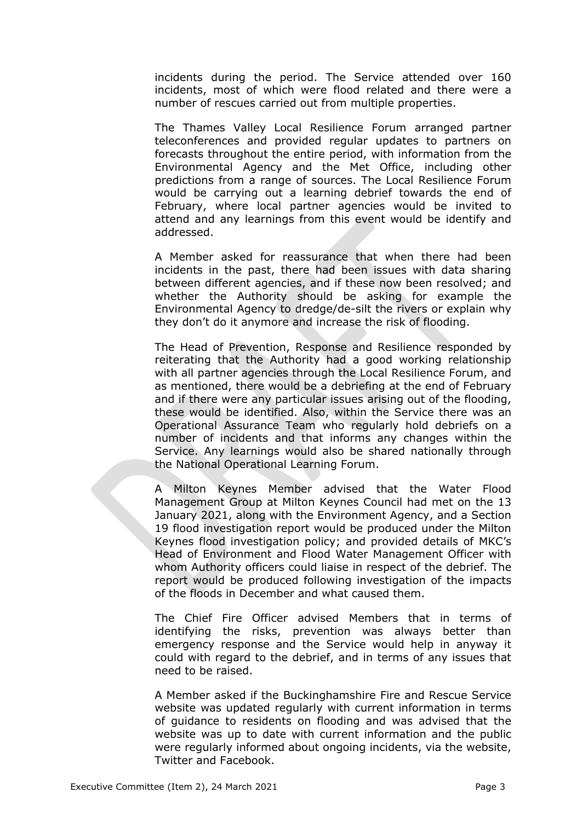incidents during the period. The Service attended over 160 incidents, most of which were flood related and there were a number of rescues carried out from multiple properties.

The Thames Valley Local Resilience Forum arranged partner teleconferences and provided regular updates to partners on forecasts throughout the entire period, with information from the Environmental Agency and the Met Office, including other predictions from a range of sources. The Local Resilience Forum would be carrying out a learning debrief towards the end of February, where local partner agencies would be invited to attend and any learnings from this event would be identify and addressed.

A Member asked for reassurance that when there had been incidents in the past, there had been issues with data sharing between different agencies, and if these now been resolved; and whether the Authority should be asking for example the Environmental Agency to dredge/de-silt the rivers or explain why they don't do it anymore and increase the risk of flooding.

The Head of Prevention, Response and Resilience responded by reiterating that the Authority had a good working relationship with all partner agencies through the Local Resilience Forum, and as mentioned, there would be a debriefing at the end of February and if there were any particular issues arising out of the flooding, these would be identified. Also, within the Service there was an Operational Assurance Team who regularly hold debriefs on a number of incidents and that informs any changes within the Service. Any learnings would also be shared nationally through the National Operational Learning Forum.

A Milton Keynes Member advised that the Water Flood Management Group at Milton Keynes Council had met on the 13 January 2021, along with the Environment Agency, and a Section 19 flood investigation report would be produced under the Milton Keynes flood investigation policy; and provided details of MKC's Head of Environment and Flood Water Management Officer with whom Authority officers could liaise in respect of the debrief. The report would be produced following investigation of the impacts of the floods in December and what caused them.

The Chief Fire Officer advised Members that in terms of identifying the risks, prevention was always better than emergency response and the Service would help in anyway it could with regard to the debrief, and in terms of any issues that need to be raised.

A Member asked if the Buckinghamshire Fire and Rescue Service website was updated regularly with current information in terms of guidance to residents on flooding and was advised that the website was up to date with current information and the public were regularly informed about ongoing incidents, via the website, Twitter and Facebook.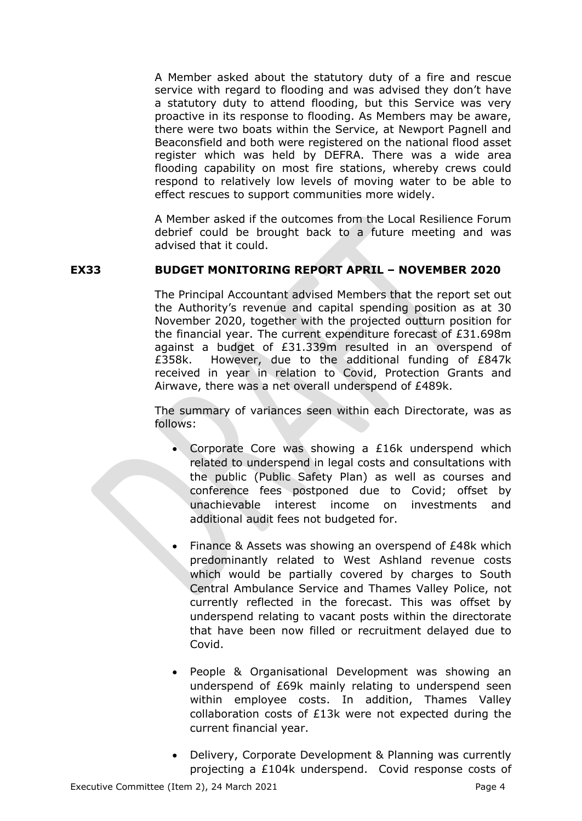A Member asked about the statutory duty of a fire and rescue service with regard to flooding and was advised they don't have a statutory duty to attend flooding, but this Service was very proactive in its response to flooding. As Members may be aware, there were two boats within the Service, at Newport Pagnell and Beaconsfield and both were registered on the national flood asset register which was held by DEFRA. There was a wide area flooding capability on most fire stations, whereby crews could respond to relatively low levels of moving water to be able to effect rescues to support communities more widely.

A Member asked if the outcomes from the Local Resilience Forum debrief could be brought back to a future meeting and was advised that it could.

# **EX33 BUDGET MONITORING REPORT APRIL – NOVEMBER 2020**

The Principal Accountant advised Members that the report set out the Authority's revenue and capital spending position as at 30 November 2020, together with the projected outturn position for the financial year. The current expenditure forecast of £31.698m against a budget of £31.339m resulted in an overspend of £358k. However, due to the additional funding of £847k received in year in relation to Covid, Protection Grants and Airwave, there was a net overall underspend of £489k.

The summary of variances seen within each Directorate, was as follows:

- Corporate Core was showing a £16k underspend which related to underspend in legal costs and consultations with the public (Public Safety Plan) as well as courses and conference fees postponed due to Covid; offset by unachievable interest income on investments and additional audit fees not budgeted for.
- Finance & Assets was showing an overspend of £48k which predominantly related to West Ashland revenue costs which would be partially covered by charges to South Central Ambulance Service and Thames Valley Police, not currently reflected in the forecast. This was offset by underspend relating to vacant posts within the directorate that have been now filled or recruitment delayed due to Covid.
- People & Organisational Development was showing an underspend of £69k mainly relating to underspend seen within employee costs. In addition, Thames Valley collaboration costs of £13k were not expected during the current financial year.
- Delivery, Corporate Development & Planning was currently projecting a £104k underspend. Covid response costs of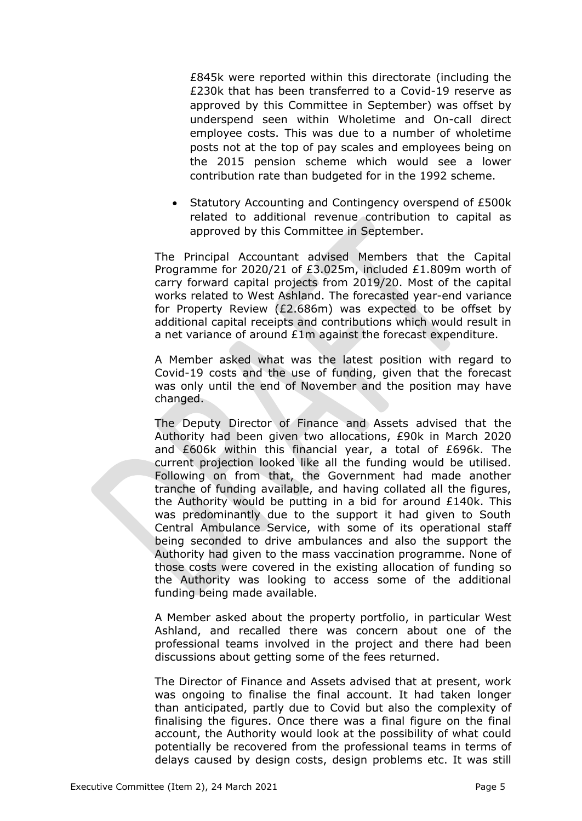£845k were reported within this directorate (including the £230k that has been transferred to a Covid-19 reserve as approved by this Committee in September) was offset by underspend seen within Wholetime and On-call direct employee costs. This was due to a number of wholetime posts not at the top of pay scales and employees being on the 2015 pension scheme which would see a lower contribution rate than budgeted for in the 1992 scheme.

• Statutory Accounting and Contingency overspend of £500k related to additional revenue contribution to capital as approved by this Committee in September.

The Principal Accountant advised Members that the Capital Programme for 2020/21 of £3.025m, included £1.809m worth of carry forward capital projects from 2019/20. Most of the capital works related to West Ashland. The forecasted year-end variance for Property Review (£2.686m) was expected to be offset by additional capital receipts and contributions which would result in a net variance of around £1m against the forecast expenditure.

A Member asked what was the latest position with regard to Covid-19 costs and the use of funding, given that the forecast was only until the end of November and the position may have changed.

The Deputy Director of Finance and Assets advised that the Authority had been given two allocations, £90k in March 2020 and £606k within this financial year, a total of £696k. The current projection looked like all the funding would be utilised. Following on from that, the Government had made another tranche of funding available, and having collated all the figures, the Authority would be putting in a bid for around £140k. This was predominantly due to the support it had given to South Central Ambulance Service, with some of its operational staff being seconded to drive ambulances and also the support the Authority had given to the mass vaccination programme. None of those costs were covered in the existing allocation of funding so the Authority was looking to access some of the additional funding being made available.

A Member asked about the property portfolio, in particular West Ashland, and recalled there was concern about one of the professional teams involved in the project and there had been discussions about getting some of the fees returned.

The Director of Finance and Assets advised that at present, work was ongoing to finalise the final account. It had taken longer than anticipated, partly due to Covid but also the complexity of finalising the figures. Once there was a final figure on the final account, the Authority would look at the possibility of what could potentially be recovered from the professional teams in terms of delays caused by design costs, design problems etc. It was still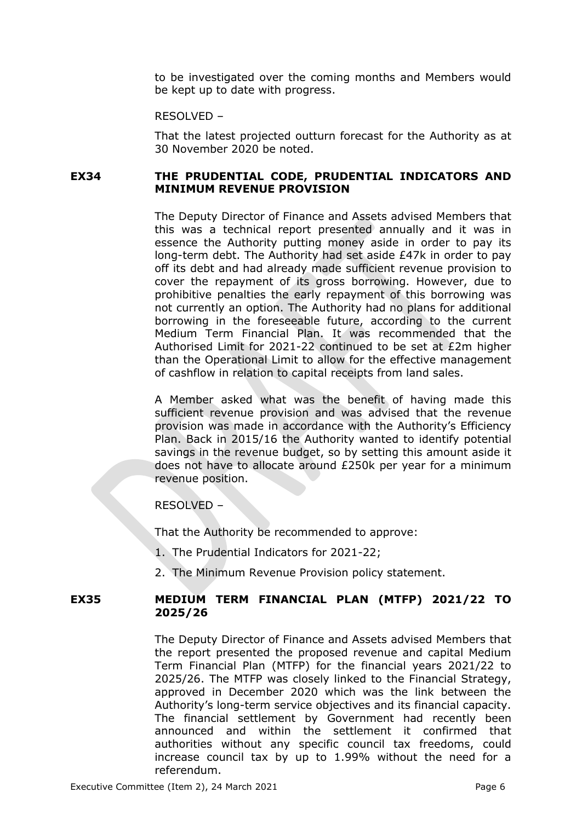to be investigated over the coming months and Members would be kept up to date with progress.

RESOLVED –

That the latest projected outturn forecast for the Authority as at 30 November 2020 be noted.

### **EX34 THE PRUDENTIAL CODE, PRUDENTIAL INDICATORS AND MINIMUM REVENUE PROVISION**

The Deputy Director of Finance and Assets advised Members that this was a technical report presented annually and it was in essence the Authority putting money aside in order to pay its long-term debt. The Authority had set aside £47k in order to pay off its debt and had already made sufficient revenue provision to cover the repayment of its gross borrowing. However, due to prohibitive penalties the early repayment of this borrowing was not currently an option. The Authority had no plans for additional borrowing in the foreseeable future, according to the current Medium Term Financial Plan. It was recommended that the Authorised Limit for 2021-22 continued to be set at £2m higher than the Operational Limit to allow for the effective management of cashflow in relation to capital receipts from land sales.

A Member asked what was the benefit of having made this sufficient revenue provision and was advised that the revenue provision was made in accordance with the Authority's Efficiency Plan. Back in 2015/16 the Authority wanted to identify potential savings in the revenue budget, so by setting this amount aside it does not have to allocate around £250k per year for a minimum revenue position.

RESOLVED –

That the Authority be recommended to approve:

- 1. The Prudential Indicators for 2021-22;
- 2. The Minimum Revenue Provision policy statement.

### **EX35 MEDIUM TERM FINANCIAL PLAN (MTFP) 2021/22 TO 2025/26**

The Deputy Director of Finance and Assets advised Members that the report presented the proposed revenue and capital Medium Term Financial Plan (MTFP) for the financial years 2021/22 to 2025/26. The MTFP was closely linked to the Financial Strategy, approved in December 2020 which was the link between the Authority's long-term service objectives and its financial capacity. The financial settlement by Government had recently been announced and within the settlement it confirmed that authorities without any specific council tax freedoms, could increase council tax by up to 1.99% without the need for a referendum.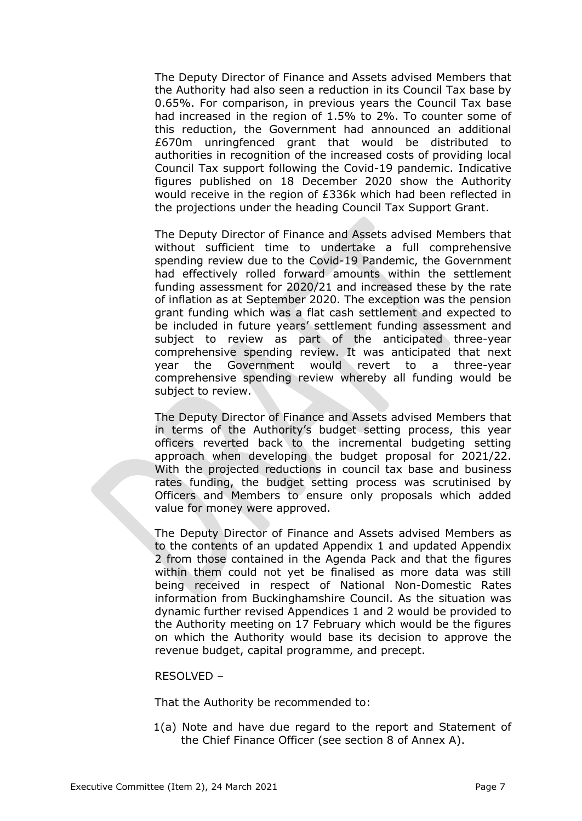The Deputy Director of Finance and Assets advised Members that the Authority had also seen a reduction in its Council Tax base by 0.65%. For comparison, in previous years the Council Tax base had increased in the region of 1.5% to 2%. To counter some of this reduction, the Government had announced an additional £670m unringfenced grant that would be distributed to authorities in recognition of the increased costs of providing local Council Tax support following the Covid-19 pandemic. Indicative figures published on 18 December 2020 show the Authority would receive in the region of £336k which had been reflected in the projections under the heading Council Tax Support Grant.

The Deputy Director of Finance and Assets advised Members that without sufficient time to undertake a full comprehensive spending review due to the Covid-19 Pandemic, the Government had effectively rolled forward amounts within the settlement funding assessment for 2020/21 and increased these by the rate of inflation as at September 2020. The exception was the pension grant funding which was a flat cash settlement and expected to be included in future years' settlement funding assessment and subject to review as part of the anticipated three-year comprehensive spending review. It was anticipated that next year the Government would revert to a three-year comprehensive spending review whereby all funding would be subject to review.

The Deputy Director of Finance and Assets advised Members that in terms of the Authority's budget setting process, this year officers reverted back to the incremental budgeting setting approach when developing the budget proposal for 2021/22. With the projected reductions in council tax base and business rates funding, the budget setting process was scrutinised by Officers and Members to ensure only proposals which added value for money were approved.

The Deputy Director of Finance and Assets advised Members as to the contents of an updated Appendix 1 and updated Appendix 2 from those contained in the Agenda Pack and that the figures within them could not yet be finalised as more data was still being received in respect of National Non-Domestic Rates information from Buckinghamshire Council. As the situation was dynamic further revised Appendices 1 and 2 would be provided to the Authority meeting on 17 February which would be the figures on which the Authority would base its decision to approve the revenue budget, capital programme, and precept.

### RESOLVED –

That the Authority be recommended to:

1(a) Note and have due regard to the report and Statement of the Chief Finance Officer (see section 8 of Annex A).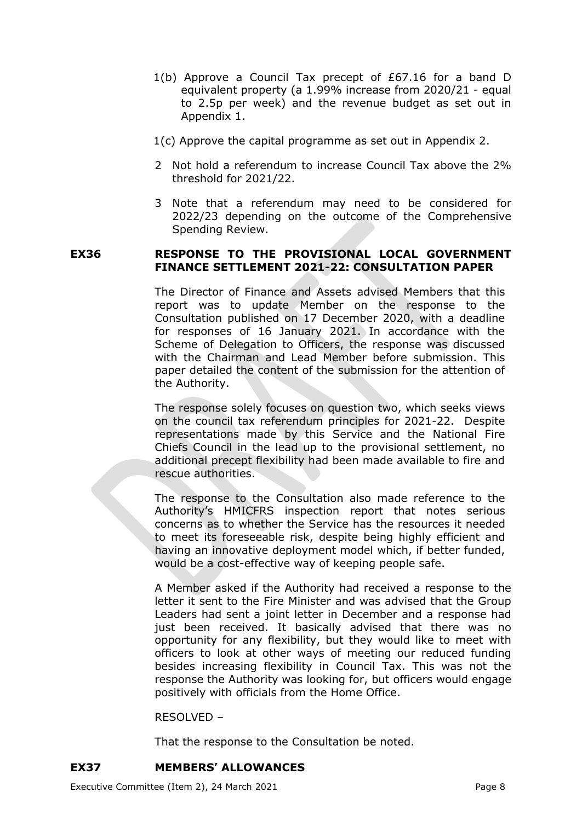- 1(b) Approve a Council Tax precept of £67.16 for a band D equivalent property (a 1.99% increase from 2020/21 - equal to 2.5p per week) and the revenue budget as set out in Appendix 1.
- 1(c) Approve the capital programme as set out in Appendix 2.
- 2 Not hold a referendum to increase Council Tax above the 2% threshold for 2021/22.
- 3 Note that a referendum may need to be considered for 2022/23 depending on the outcome of the Comprehensive Spending Review.

# **EX36 RESPONSE TO THE PROVISIONAL LOCAL GOVERNMENT FINANCE SETTLEMENT 2021-22: CONSULTATION PAPER**

The Director of Finance and Assets advised Members that this report was to update Member on the response to the Consultation published on 17 December 2020, with a deadline for responses of 16 January 2021. In accordance with the Scheme of Delegation to Officers, the response was discussed with the Chairman and Lead Member before submission. This paper detailed the content of the submission for the attention of the Authority.

The response solely focuses on question two, which seeks views on the council tax referendum principles for 2021-22. Despite representations made by this Service and the National Fire Chiefs Council in the lead up to the provisional settlement, no additional precept flexibility had been made available to fire and rescue authorities.

The response to the Consultation also made reference to the Authority's HMICFRS inspection report that notes serious concerns as to whether the Service has the resources it needed to meet its foreseeable risk, despite being highly efficient and having an innovative deployment model which, if better funded, would be a cost-effective way of keeping people safe.

A Member asked if the Authority had received a response to the letter it sent to the Fire Minister and was advised that the Group Leaders had sent a joint letter in December and a response had just been received. It basically advised that there was no opportunity for any flexibility, but they would like to meet with officers to look at other ways of meeting our reduced funding besides increasing flexibility in Council Tax. This was not the response the Authority was looking for, but officers would engage positively with officials from the Home Office.

### RESOLVED –

That the response to the Consultation be noted.

### **EX37 MEMBERS' ALLOWANCES**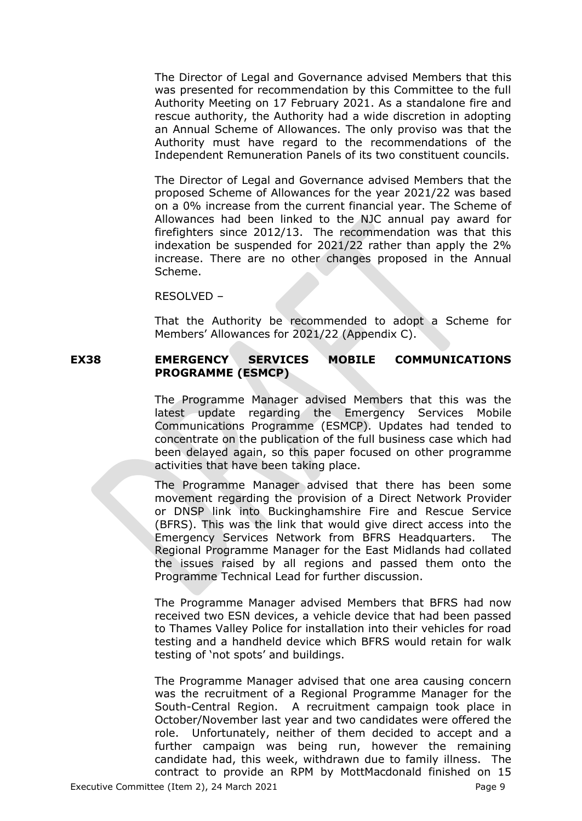The Director of Legal and Governance advised Members that this was presented for recommendation by this Committee to the full Authority Meeting on 17 February 2021. As a standalone fire and rescue authority, the Authority had a wide discretion in adopting an Annual Scheme of Allowances. The only proviso was that the Authority must have regard to the recommendations of the Independent Remuneration Panels of its two constituent councils.

The Director of Legal and Governance advised Members that the proposed Scheme of Allowances for the year 2021/22 was based on a 0% increase from the current financial year. The Scheme of Allowances had been linked to the NJC annual pay award for firefighters since 2012/13. The recommendation was that this indexation be suspended for 2021/22 rather than apply the 2% increase. There are no other changes proposed in the Annual Scheme.

RESOLVED –

That the Authority be recommended to adopt a Scheme for Members' Allowances for 2021/22 (Appendix C).

# **EX38 EMERGENCY SERVICES MOBILE COMMUNICATIONS PROGRAMME (ESMCP)**

The Programme Manager advised Members that this was the latest update regarding the Emergency Services Mobile Communications Programme (ESMCP). Updates had tended to concentrate on the publication of the full business case which had been delayed again, so this paper focused on other programme activities that have been taking place.

The Programme Manager advised that there has been some movement regarding the provision of a Direct Network Provider or DNSP link into Buckinghamshire Fire and Rescue Service (BFRS). This was the link that would give direct access into the Emergency Services Network from BFRS Headquarters. The Regional Programme Manager for the East Midlands had collated the issues raised by all regions and passed them onto the Programme Technical Lead for further discussion.

The Programme Manager advised Members that BFRS had now received two ESN devices, a vehicle device that had been passed to Thames Valley Police for installation into their vehicles for road testing and a handheld device which BFRS would retain for walk testing of 'not spots' and buildings.

The Programme Manager advised that one area causing concern was the recruitment of a Regional Programme Manager for the South-Central Region. A recruitment campaign took place in October/November last year and two candidates were offered the role. Unfortunately, neither of them decided to accept and a further campaign was being run, however the remaining candidate had, this week, withdrawn due to family illness. The contract to provide an RPM by MottMacdonald finished on 15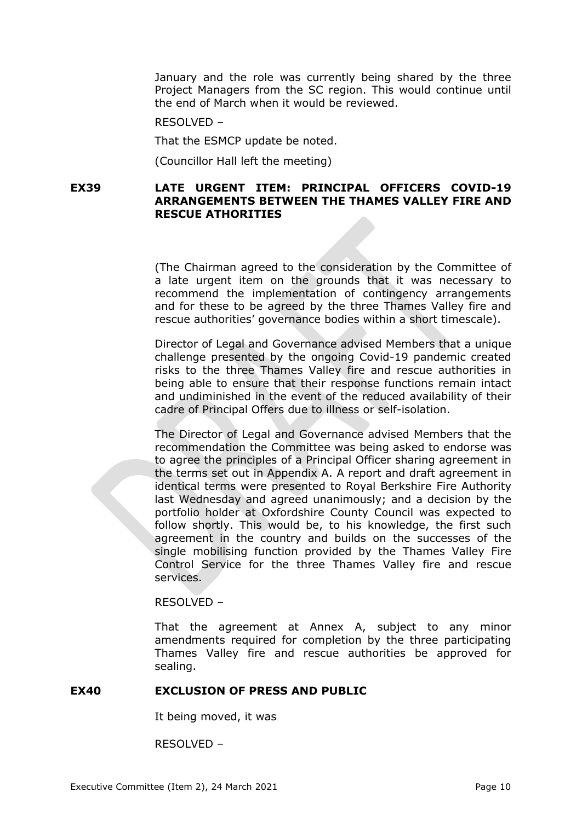January and the role was currently being shared by the three Project Managers from the SC region. This would continue until the end of March when it would be reviewed.

RESOLVED –

That the ESMCP update be noted.

(Councillor Hall left the meeting)

### **EX39 LATE URGENT ITEM: PRINCIPAL OFFICERS COVID-19 ARRANGEMENTS BETWEEN THE THAMES VALLEY FIRE AND RESCUE ATHORITIES**

(The Chairman agreed to the consideration by the Committee of a late urgent item on the grounds that it was necessary to recommend the implementation of contingency arrangements and for these to be agreed by the three Thames Valley fire and rescue authorities' governance bodies within a short timescale).

Director of Legal and Governance advised Members that a unique challenge presented by the ongoing Covid-19 pandemic created risks to the three Thames Valley fire and rescue authorities in being able to ensure that their response functions remain intact and undiminished in the event of the reduced availability of their cadre of Principal Offers due to illness or self-isolation.

The Director of Legal and Governance advised Members that the recommendation the Committee was being asked to endorse was to agree the principles of a Principal Officer sharing agreement in the terms set out in Appendix A. A report and draft agreement in identical terms were presented to Royal Berkshire Fire Authority last Wednesday and agreed unanimously; and a decision by the portfolio holder at Oxfordshire County Council was expected to follow shortly. This would be, to his knowledge, the first such agreement in the country and builds on the successes of the single mobilising function provided by the Thames Valley Fire Control Service for the three Thames Valley fire and rescue services.

### RESOLVED –

That the agreement at Annex A, subject to any minor amendments required for completion by the three participating Thames Valley fire and rescue authorities be approved for sealing.

#### **EX40 EXCLUSION OF PRESS AND PUBLIC**

It being moved, it was

RESOLVED –